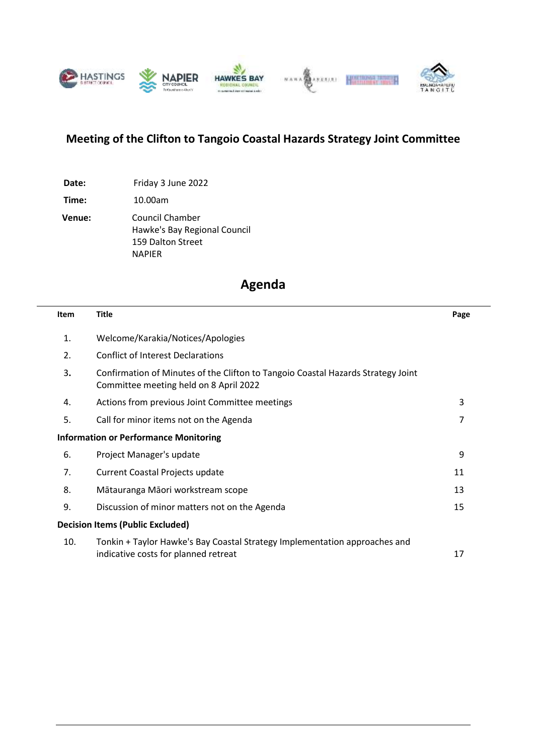

# **Meeting of the Clifton to Tangoio Coastal Hazards Strategy Joint Committee**

**Date:** Friday 3 June 2022

**Time:** 10.00am

**Venue:** Council Chamber Hawke's Bay Regional Council 159 Dalton Street NAPIER

# **Agenda**

| <b>Item</b> | <b>Title</b>                                                                                                               | Page |
|-------------|----------------------------------------------------------------------------------------------------------------------------|------|
| 1.          | Welcome/Karakia/Notices/Apologies                                                                                          |      |
| 2.          | <b>Conflict of Interest Declarations</b>                                                                                   |      |
| 3.          | Confirmation of Minutes of the Clifton to Tangoio Coastal Hazards Strategy Joint<br>Committee meeting held on 8 April 2022 |      |
| 4.          | Actions from previous Joint Committee meetings                                                                             | 3    |
| 5.          | Call for minor items not on the Agenda                                                                                     | 7    |
|             | <b>Information or Performance Monitoring</b>                                                                               |      |
| 6.          | Project Manager's update                                                                                                   | 9    |
| 7.          | <b>Current Coastal Projects update</b>                                                                                     | 11   |
| 8.          | Mātauranga Māori workstream scope                                                                                          | 13   |
| 9.          | Discussion of minor matters not on the Agenda                                                                              | 15   |
|             | <b>Decision Items (Public Excluded)</b>                                                                                    |      |
| 10.         | Tonkin + Taylor Hawke's Bay Coastal Strategy Implementation approaches and<br>indicative costs for planned retreat         | 17   |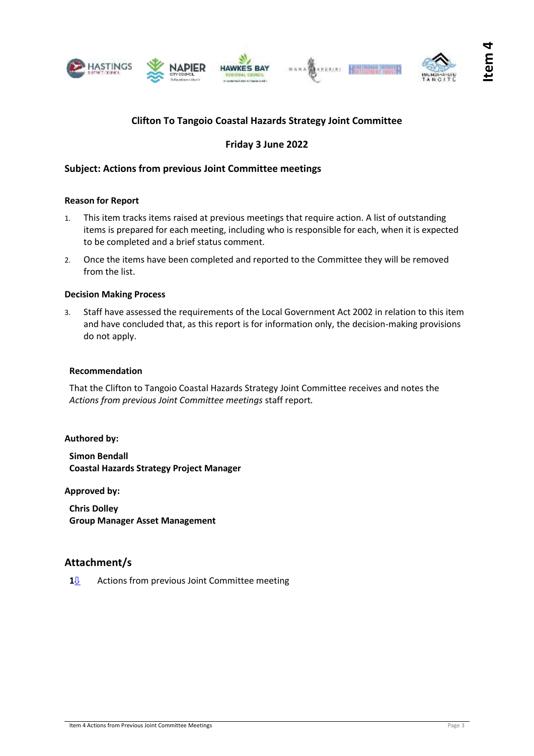<span id="page-2-0"></span>





# **Friday 3 June 2022**

### **Subject: Actions from previous Joint Committee meetings**

#### **Reason for Report**

- 1. This item tracks items raised at previous meetings that require action. A list of outstanding items is prepared for each meeting, including who is responsible for each, when it is expected to be completed and a brief status comment.
- 2. Once the items have been completed and reported to the Committee they will be removed from the list.

#### **Decision Making Process**

3. Staff have assessed the requirements of the Local Government Act 2002 in relation to this item and have concluded that, as this report is for information only, the decision-making provisions do not apply.

#### **Recommendation**

That the Clifton to Tangoio Coastal Hazards Strategy Joint Committee receives and notes the *Actions from previous Joint Committee meetings* staff report*.*

#### **Authored by:**

**Simon Bendall Coastal Hazards Strategy Project Manager**

**Approved by:**

**Chris Dolley Group Manager Asset Management**

### **Attachment/s**

1<sup>*<u>I*</sub></sub> Actions from previous Joint Committee meeting</sup></u>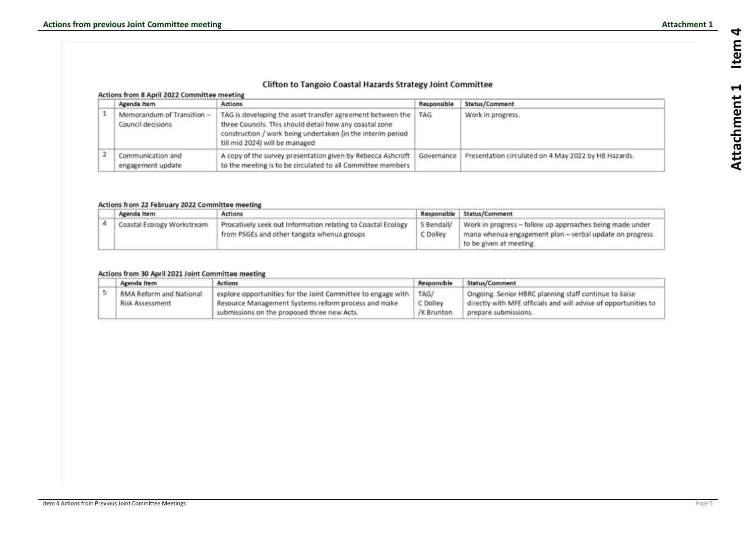| <b>Clifton to Tangoio Coastal Hazards Strategy Joint Committee</b><br>Actions from 8 April 2022 Committee meeting |                                                                                                                                                                                                                        |             |                                                      |  |  |  |
|-------------------------------------------------------------------------------------------------------------------|------------------------------------------------------------------------------------------------------------------------------------------------------------------------------------------------------------------------|-------------|------------------------------------------------------|--|--|--|
| Agenda Item                                                                                                       | <b>Actions</b>                                                                                                                                                                                                         | Responsible | Status/Comment                                       |  |  |  |
| Memorandum of Transition -<br>Council decisions                                                                   | TAG is developing the asset transfer agreement between the<br>three Councils. This should detail how any coastal zone<br>construction / work being undertaken (in the interim period<br>till mid 2024) will be managed | TAG         | Work in progress.                                    |  |  |  |
| Communication and<br>engagement update                                                                            | A copy of the survey presentation given by Rebecca Ashcroft<br>to the meeting is to be circulated to all Committee members                                                                                             | Governance  | Presentation circulated on 4 May 2022 by HB Hazards. |  |  |  |

#### Actions from 22 February 2022 Committee meeting

| Agenda Item                | <b>Actions</b>                                               |            | Responsible   Status/Comment                              |
|----------------------------|--------------------------------------------------------------|------------|-----------------------------------------------------------|
| Coastal Ecology Workstream | Procatively seek out Information relating to Coastal Ecology | S Bendall/ | Work in progress -- follow up approaches being made under |
|                            | from PSGEs and other tangata whenua groups                   | C Dolley   | mana whenua engagement plan - verbal update on progress   |
|                            |                                                              |            | to be given at meeting.                                   |

|  | Agenda Item             | Actions                                                              |            | Status/Comment                                                  |  |
|--|-------------------------|----------------------------------------------------------------------|------------|-----------------------------------------------------------------|--|
|  | RMA Reform and National | explore opportunities for the Joint Committee to engage with<br>TAG/ |            | Ongoing. Senior HBRC planning staff continue to liaise          |  |
|  | Risk Assessment         | Resource Management Systems reform process and make                  | C Dolley   | directly with MFE officials and will advise of opportunities to |  |
|  |                         | submissions on the proposed three new Acts.                          | /K Brunton | prepare submissions.                                            |  |

#### <span id="page-4-0"></span>Actions from 30 April 2021 Joint Committee meeting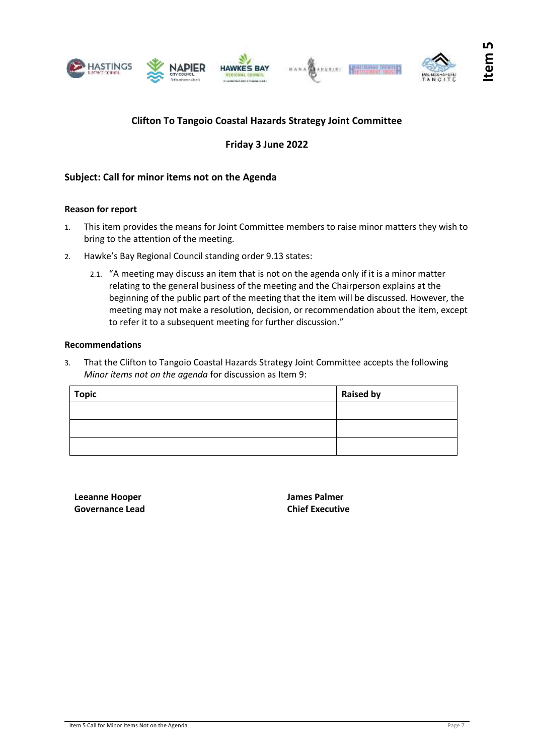<span id="page-6-0"></span>





# **Friday 3 June 2022**

### **Subject: Call for minor items not on the Agenda**

#### **Reason for report**

- 1. This item provides the means for Joint Committee members to raise minor matters they wish to bring to the attention of the meeting.
- 2. Hawke's Bay Regional Council standing order 9.13 states:
	- 2.1. "A meeting may discuss an item that is not on the agenda only if it is a minor matter relating to the general business of the meeting and the Chairperson explains at the beginning of the public part of the meeting that the item will be discussed. However, the meeting may not make a resolution, decision, or recommendation about the item, except to refer it to a subsequent meeting for further discussion."

#### **Recommendations**

3. That the Clifton to Tangoio Coastal Hazards Strategy Joint Committee accepts the following *Minor items not on the agenda* for discussion as Item 9:

| <b>Topic</b> | <b>Raised by</b> |
|--------------|------------------|
|              |                  |
|              |                  |
|              |                  |

**Leeanne Hooper Governance Lead** **James Palmer Chief Executive**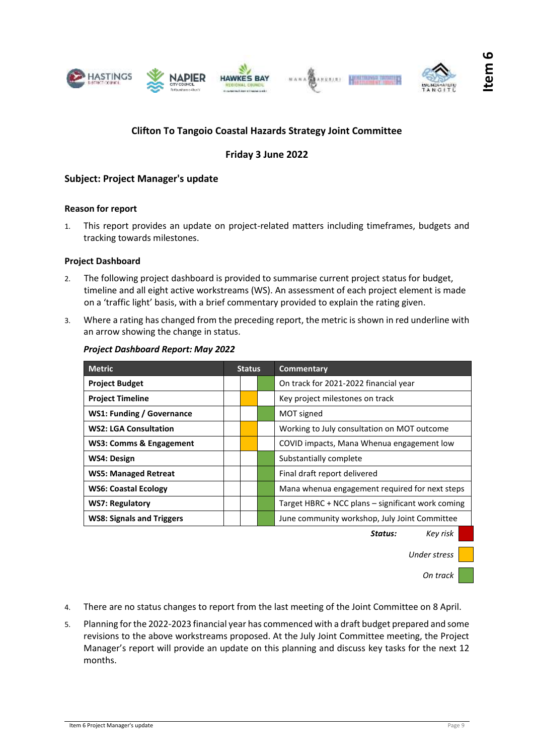<span id="page-8-0"></span>



# **Friday 3 June 2022**

### **Subject: Project Manager's update**

#### **Reason for report**

1. This report provides an update on project-related matters including timeframes, budgets and tracking towards milestones.

#### **Project Dashboard**

- 2. The following project dashboard is provided to summarise current project status for budget, timeline and all eight active workstreams (WS). An assessment of each project element is made on a 'traffic light' basis, with a brief commentary provided to explain the rating given.
- 3. Where a rating has changed from the preceding report, the metric is shown in red underline with an arrow showing the change in status.

| <b>Metric</b>                      |  | <b>Status</b> |  | Commentary                                        |  |
|------------------------------------|--|---------------|--|---------------------------------------------------|--|
| <b>Project Budget</b>              |  |               |  | On track for 2021-2022 financial year             |  |
| <b>Project Timeline</b>            |  |               |  | Key project milestones on track                   |  |
| <b>WS1: Funding / Governance</b>   |  |               |  | MOT signed                                        |  |
| <b>WS2: LGA Consultation</b>       |  |               |  | Working to July consultation on MOT outcome       |  |
| <b>WS3: Comms &amp; Engagement</b> |  |               |  | COVID impacts, Mana Whenua engagement low         |  |
| WS4: Design                        |  |               |  | Substantially complete                            |  |
| <b>WS5: Managed Retreat</b>        |  |               |  | Final draft report delivered                      |  |
| <b>WS6: Coastal Ecology</b>        |  |               |  | Mana whenua engagement required for next steps    |  |
| <b>WS7: Regulatory</b>             |  |               |  | Target HBRC + NCC plans – significant work coming |  |
| <b>WS8: Signals and Triggers</b>   |  |               |  | June community workshop, July Joint Committee     |  |

#### *Project Dashboard Report: May 2022*

*Status: Key risk*

*Under stress*

*On track*

- 4. There are no status changes to report from the last meeting of the Joint Committee on 8 April.
- 5. Planning for the 2022-2023 financial year has commenced with a draft budget prepared and some revisions to the above workstreams proposed. At the July Joint Committee meeting, the Project Manager's report will provide an update on this planning and discuss key tasks for the next 12 months.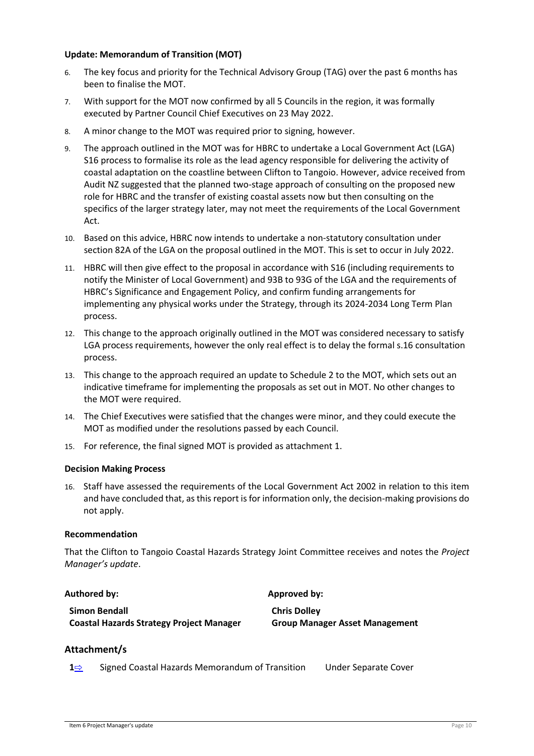#### **Update: Memorandum of Transition (MOT)**

- 6. The key focus and priority for the Technical Advisory Group (TAG) over the past 6 months has been to finalise the MOT.
- 7. With support for the MOT now confirmed by all 5 Councils in the region, it was formally executed by Partner Council Chief Executives on 23 May 2022.
- 8. A minor change to the MOT was required prior to signing, however.
- 9. The approach outlined in the MOT was for HBRC to undertake a Local Government Act (LGA) S16 process to formalise its role as the lead agency responsible for delivering the activity of coastal adaptation on the coastline between Clifton to Tangoio. However, advice received from Audit NZ suggested that the planned two-stage approach of consulting on the proposed new role for HBRC and the transfer of existing coastal assets now but then consulting on the specifics of the larger strategy later, may not meet the requirements of the Local Government Act.
- 10. Based on this advice, HBRC now intends to undertake a non-statutory consultation under section 82A of the LGA on the proposal outlined in the MOT. This is set to occur in July 2022.
- 11. HBRC will then give effect to the proposal in accordance with S16 (including requirements to notify the Minister of Local Government) and 93B to 93G of the LGA and the requirements of HBRC's Significance and Engagement Policy, and confirm funding arrangements for implementing any physical works under the Strategy, through its 2024-2034 Long Term Plan process.
- 12. This change to the approach originally outlined in the MOT was considered necessary to satisfy LGA process requirements, however the only real effect is to delay the formal s.16 consultation process.
- 13. This change to the approach required an update to Schedule 2 to the MOT, which sets out an indicative timeframe for implementing the proposals as set out in MOT. No other changes to the MOT were required.
- 14. The Chief Executives were satisfied that the changes were minor, and they could execute the MOT as modified under the resolutions passed by each Council.
- 15. For reference, the final signed MOT is provided as attachment 1.

#### **Decision Making Process**

16. Staff have assessed the requirements of the Local Government Act 2002 in relation to this item and have concluded that, as this report is for information only, the decision-making provisions do not apply.

#### **Recommendation**

That the Clifton to Tangoio Coastal Hazards Strategy Joint Committee receives and notes the *Project Manager's update*.

| Authored by:                                    | Approved by:                          |  |  |
|-------------------------------------------------|---------------------------------------|--|--|
| Simon Bendall                                   | <b>Chris Dolley</b>                   |  |  |
| <b>Coastal Hazards Strategy Project Manager</b> | <b>Group Manager Asset Management</b> |  |  |

#### **Attachment/s**

**1**[⇨](../../../RedirectToInvalidFileName.aspx?FileName=CLI_03062022_ATT_EXCLUDED.PDF#PAGE=2) Signed Coastal Hazards Memorandum of Transition Under Separate Cover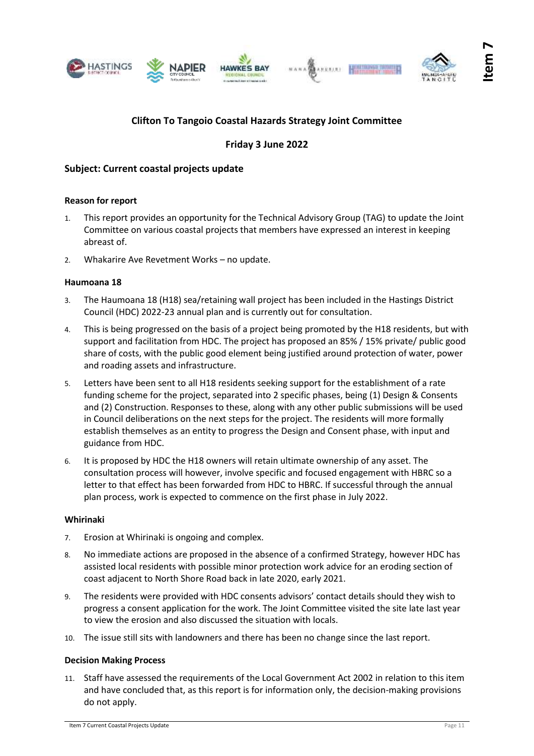<span id="page-10-0"></span>





# **Friday 3 June 2022**

# **Subject: Current coastal projects update**

#### **Reason for report**

- 1. This report provides an opportunity for the Technical Advisory Group (TAG) to update the Joint Committee on various coastal projects that members have expressed an interest in keeping abreast of.
- 2. Whakarire Ave Revetment Works no update.

#### **Haumoana 18**

- 3. The Haumoana 18 (H18) sea/retaining wall project has been included in the Hastings District Council (HDC) 2022-23 annual plan and is currently out for consultation.
- 4. This is being progressed on the basis of a project being promoted by the H18 residents, but with support and facilitation from HDC. The project has proposed an 85% / 15% private/ public good share of costs, with the public good element being justified around protection of water, power and roading assets and infrastructure.
- 5. Letters have been sent to all H18 residents seeking support for the establishment of a rate funding scheme for the project, separated into 2 specific phases, being (1) Design & Consents and (2) Construction. Responses to these, along with any other public submissions will be used in Council deliberations on the next steps for the project. The residents will more formally establish themselves as an entity to progress the Design and Consent phase, with input and guidance from HDC.
- 6. It is proposed by HDC the H18 owners will retain ultimate ownership of any asset. The consultation process will however, involve specific and focused engagement with HBRC so a letter to that effect has been forwarded from HDC to HBRC. If successful through the annual plan process, work is expected to commence on the first phase in July 2022.

#### **Whirinaki**

- 7. Erosion at Whirinaki is ongoing and complex.
- 8. No immediate actions are proposed in the absence of a confirmed Strategy, however HDC has assisted local residents with possible minor protection work advice for an eroding section of coast adjacent to North Shore Road back in late 2020, early 2021.
- 9. The residents were provided with HDC consents advisors' contact details should they wish to progress a consent application for the work. The Joint Committee visited the site late last year to view the erosion and also discussed the situation with locals.
- 10. The issue still sits with landowners and there has been no change since the last report.

#### **Decision Making Process**

11. Staff have assessed the requirements of the Local Government Act 2002 in relation to this item and have concluded that, as this report is for information only, the decision-making provisions do not apply.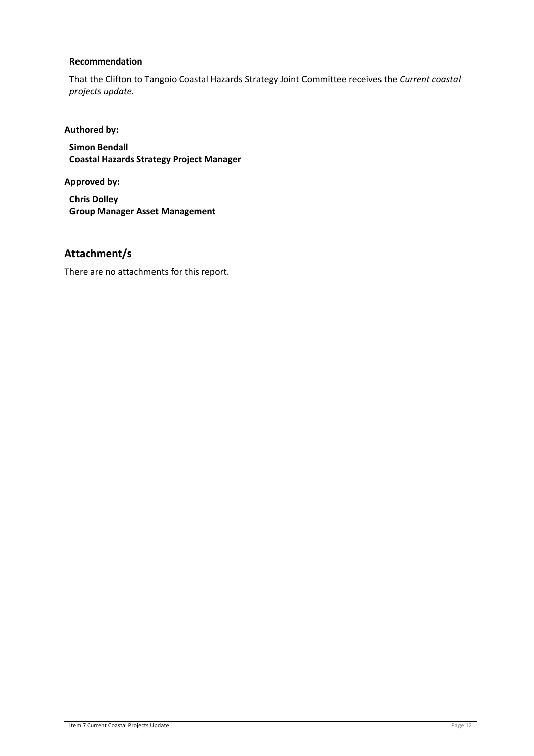#### **Recommendation**

That the Clifton to Tangoio Coastal Hazards Strategy Joint Committee receives the *Current coastal projects update.*

# **Authored by:**

**Simon Bendall Coastal Hazards Strategy Project Manager**

**Approved by:**

**Chris Dolley Group Manager Asset Management**

# **Attachment/s**

There are no attachments for this report.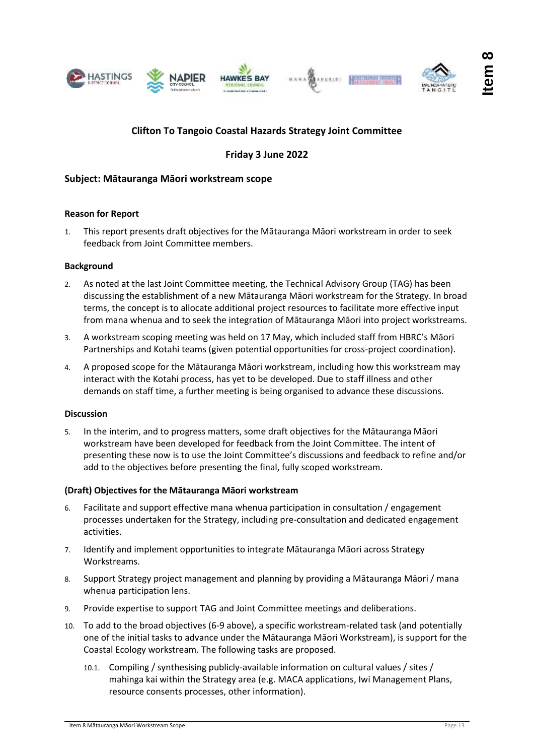<span id="page-12-0"></span>



**Item 8**

# **Clifton To Tangoio Coastal Hazards Strategy Joint Committee**

# **Friday 3 June 2022**

### **Subject: Mātauranga Māori workstream scope**

#### **Reason for Report**

1. This report presents draft objectives for the Mātauranga Māori workstream in order to seek feedback from Joint Committee members.

#### **Background**

- 2. As noted at the last Joint Committee meeting, the Technical Advisory Group (TAG) has been discussing the establishment of a new Mātauranga Māori workstream for the Strategy. In broad terms, the concept is to allocate additional project resources to facilitate more effective input from mana whenua and to seek the integration of Mātauranga Māori into project workstreams.
- 3. A workstream scoping meeting was held on 17 May, which included staff from HBRC's Māori Partnerships and Kotahi teams (given potential opportunities for cross-project coordination).
- 4. A proposed scope for the Mātauranga Māori workstream, including how this workstream may interact with the Kotahi process, has yet to be developed. Due to staff illness and other demands on staff time, a further meeting is being organised to advance these discussions.

#### **Discussion**

5. In the interim, and to progress matters, some draft objectives for the Mātauranga Māori workstream have been developed for feedback from the Joint Committee. The intent of presenting these now is to use the Joint Committee's discussions and feedback to refine and/or add to the objectives before presenting the final, fully scoped workstream.

#### **(Draft) Objectives for the Mātauranga Māori workstream**

- 6. Facilitate and support effective mana whenua participation in consultation / engagement processes undertaken for the Strategy, including pre-consultation and dedicated engagement activities.
- 7. Identify and implement opportunities to integrate Mātauranga Māori across Strategy Workstreams.
- 8. Support Strategy project management and planning by providing a Mātauranga Māori / mana whenua participation lens.
- 9. Provide expertise to support TAG and Joint Committee meetings and deliberations.
- 10. To add to the broad objectives (6-9 above), a specific workstream-related task (and potentially one of the initial tasks to advance under the Mātauranga Māori Workstream), is support for the Coastal Ecology workstream. The following tasks are proposed.
	- 10.1. Compiling / synthesising publicly-available information on cultural values / sites / mahinga kai within the Strategy area (e.g. MACA applications, Iwi Management Plans, resource consents processes, other information).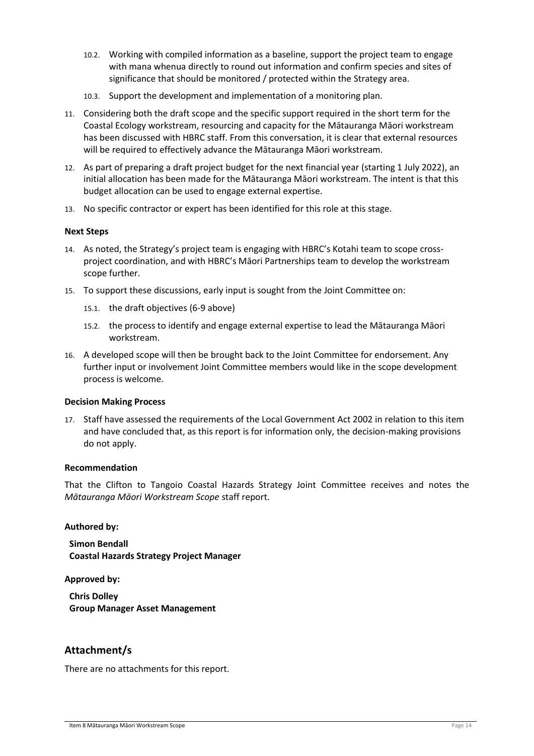- 10.2. Working with compiled information as a baseline, support the project team to engage with mana whenua directly to round out information and confirm species and sites of significance that should be monitored / protected within the Strategy area.
- 10.3. Support the development and implementation of a monitoring plan.
- 11. Considering both the draft scope and the specific support required in the short term for the Coastal Ecology workstream, resourcing and capacity for the Mātauranga Māori workstream has been discussed with HBRC staff. From this conversation, it is clear that external resources will be required to effectively advance the Mātauranga Māori workstream.
- 12. As part of preparing a draft project budget for the next financial year (starting 1 July 2022), an initial allocation has been made for the Mātauranga Māori workstream. The intent is that this budget allocation can be used to engage external expertise.
- 13. No specific contractor or expert has been identified for this role at this stage.

#### **Next Steps**

- 14. As noted, the Strategy's project team is engaging with HBRC's Kotahi team to scope crossproject coordination, and with HBRC's Māori Partnerships team to develop the workstream scope further.
- 15. To support these discussions, early input is sought from the Joint Committee on:
	- 15.1. the draft objectives (6-9 above)
	- 15.2. the process to identify and engage external expertise to lead the Mātauranga Māori workstream.
- 16. A developed scope will then be brought back to the Joint Committee for endorsement. Any further input or involvement Joint Committee members would like in the scope development process is welcome.

#### **Decision Making Process**

17. Staff have assessed the requirements of the Local Government Act 2002 in relation to this item and have concluded that, as this report is for information only, the decision-making provisions do not apply.

#### **Recommendation**

That the Clifton to Tangoio Coastal Hazards Strategy Joint Committee receives and notes the *Mātauranga Māori Workstream Scope* staff report.

#### **Authored by:**

**Simon Bendall Coastal Hazards Strategy Project Manager**

**Approved by:**

**Chris Dolley Group Manager Asset Management**

# **Attachment/s**

There are no attachments for this report.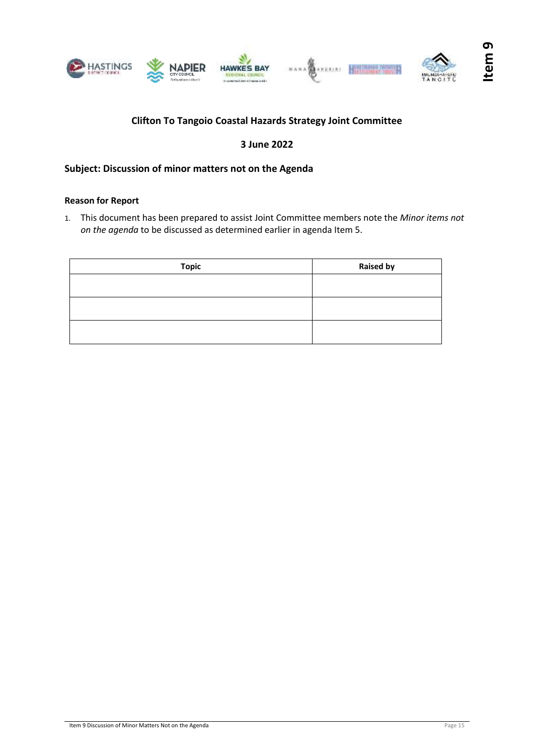<span id="page-14-0"></span>

# **3 June 2022**

# **Subject: Discussion of minor matters not on the Agenda**

#### **Reason for Report**

1. This document has been prepared to assist Joint Committee members note the *Minor items not on the agenda* to be discussed as determined earlier in agenda Item 5.

| <b>Topic</b> | <b>Raised by</b> |
|--------------|------------------|
|              |                  |
|              |                  |
|              |                  |
|              |                  |
|              |                  |
|              |                  |